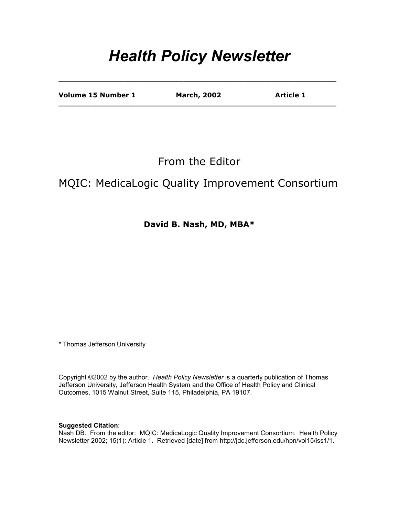# *Health Policy Newsletter*

**\_\_\_\_\_\_\_\_\_\_\_\_\_\_\_\_\_\_\_\_\_\_\_\_\_\_\_\_\_\_\_\_\_\_\_\_\_\_\_\_\_\_\_\_\_\_\_\_\_\_\_\_\_\_\_\_\_\_\_\_** 

| Volume 15 Number 1 | <b>March, 2002</b> | <b>Article 1</b> |
|--------------------|--------------------|------------------|
|                    |                    |                  |

From the Editor

#### MQIC: MedicaLogic Quality Improvement Consortium

**David B. Nash, MD, MBA\*** 

\* Thomas Jefferson University

Copyright ©2002 by the author. *Health Policy Newsletter* is a quarterly publication of Thomas Jefferson University, Jefferson Health System and the Office of Health Policy and Clinical Outcomes, 1015 Walnut Street, Suite 115, Philadelphia, PA 19107.

**Suggested Citation**:

Nash DB. From the editor: MQIC: MedicaLogic Quality Improvement Consortium. Health Policy Newsletter 2002; 15(1): Article 1. Retrieved [date] from http://jdc.jefferson.edu/hpn/vol15/iss1/1.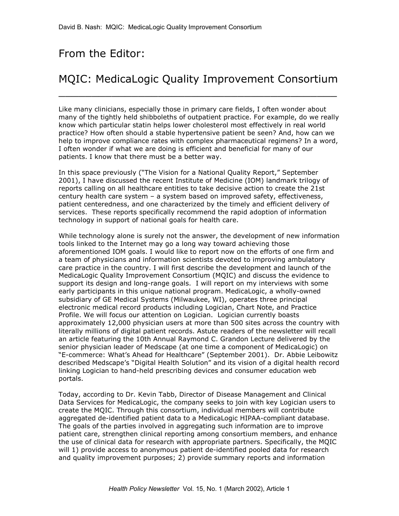### From the Editor:

## MQIC: MedicaLogic Quality Improvement Consortium

 $\overline{\phantom{a}}$  , and the contract of the contract of the contract of the contract of the contract of the contract of the contract of the contract of the contract of the contract of the contract of the contract of the contrac

Like many clinicians, especially those in primary care fields, I often wonder about many of the tightly held shibboleths of outpatient practice. For example, do we really know which particular statin helps lower cholesterol most effectively in real world practice? How often should a stable hypertensive patient be seen? And, how can we help to improve compliance rates with complex pharmaceutical regimens? In a word, I often wonder if what we are doing is efficient and beneficial for many of our patients. I know that there must be a better way.

In this space previously ("The Vision for a National Quality Report," September 2001), I have discussed the recent Institute of Medicine (IOM) landmark trilogy of reports calling on all healthcare entities to take decisive action to create the 21st century health care system – a system based on improved safety, effectiveness, patient centeredness, and one characterized by the timely and efficient delivery of services. These reports specifically recommend the rapid adoption of information technology in support of national goals for health care.

While technology alone is surely not the answer, the development of new information tools linked to the Internet may go a long way toward achieving those aforementioned IOM goals. I would like to report now on the efforts of one firm and a team of physicians and information scientists devoted to improving ambulatory care practice in the country. I will first describe the development and launch of the MedicaLogic Quality Improvement Consortium (MQIC) and discuss the evidence to support its design and long-range goals. I will report on my interviews with some early participants in this unique national program. MedicaLogic, a wholly-owned subsidiary of GE Medical Systems (Milwaukee, WI), operates three principal electronic medical record products including Logician, Chart Note, and Practice Profile. We will focus our attention on Logician. Logician currently boasts approximately 12,000 physician users at more than 500 sites across the country with literally millions of digital patient records. Astute readers of the newsletter will recall an article featuring the 10th Annual Raymond C. Grandon Lecture delivered by the senior physician leader of Medscape (at one time a component of MedicaLogic) on "E-commerce: What's Ahead for Healthcare" (September 2001). Dr. Abbie Leibowitz described Medscape's "Digital Health Solution" and its vision of a digital health record linking Logician to hand-held prescribing devices and consumer education web portals.

Today, according to Dr. Kevin Tabb, Director of Disease Management and Clinical Data Services for MedicaLogic, the company seeks to join with key Logician users to create the MQIC. Through this consortium, individual members will contribute aggregated de-identified patient data to a MedicaLogic HIPAA-compliant database. The goals of the parties involved in aggregating such information are to improve patient care, strengthen clinical reporting among consortium members, and enhance the use of clinical data for research with appropriate partners. Specifically, the MQIC will 1) provide access to anonymous patient de-identified pooled data for research and quality improvement purposes; 2) provide summary reports and information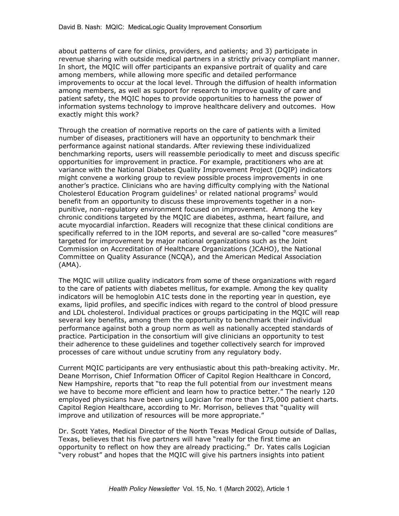about patterns of care for clinics, providers, and patients; and 3) participate in revenue sharing with outside medical partners in a strictly privacy compliant manner. In short, the MQIC will offer participants an expansive portrait of quality and care among members, while allowing more specific and detailed performance improvements to occur at the local level. Through the diffusion of health information among members, as well as support for research to improve quality of care and patient safety, the MQIC hopes to provide opportunities to harness the power of information systems technology to improve healthcare delivery and outcomes. How exactly might this work?

Through the creation of normative reports on the care of patients with a limited number of diseases, practitioners will have an opportunity to benchmark their performance against national standards. After reviewing these individualized benchmarking reports, users will reassemble periodically to meet and discuss specific opportunities for improvement in practice. For example, practitioners who are at variance with the National Diabetes Quality Improvement Project (DQIP) indicators might convene a working group to review possible process improvements in one another's practice. Clinicians who are having difficulty complying with the National Cholesterol Education Program guidelines<sup>1</sup> or related national programs<sup>2</sup> would benefit from an opportunity to discuss these improvements together in a nonpunitive, non-regulatory environment focused on improvement. Among the key chronic conditions targeted by the MQIC are diabetes, asthma, heart failure, and acute myocardial infarction. Readers will recognize that these clinical conditions are specifically referred to in the IOM reports, and several are so-called "core measures" targeted for improvement by major national organizations such as the Joint Commission on Accreditation of Healthcare Organizations (JCAHO), the National Committee on Quality Assurance (NCQA), and the American Medical Association (AMA).

The MQIC will utilize quality indicators from some of these organizations with regard to the care of patients with diabetes mellitus, for example. Among the key quality indicators will be hemoglobin A1C tests done in the reporting year in question, eye exams, lipid profiles, and specific indices with regard to the control of blood pressure and LDL cholesterol. Individual practices or groups participating in the MQIC will reap several key benefits, among them the opportunity to benchmark their individual performance against both a group norm as well as nationally accepted standards of practice. Participation in the consortium will give clinicians an opportunity to test their adherence to these guidelines and together collectively search for improved processes of care without undue scrutiny from any regulatory body.

Current MQIC participants are very enthusiastic about this path-breaking activity. Mr. Deane Morrison, Chief Information Officer of Capitol Region Healthcare in Concord, New Hampshire, reports that "to reap the full potential from our investment means we have to become more efficient and learn how to practice better." The nearly 120 employed physicians have been using Logician for more than 175,000 patient charts. Capitol Region Healthcare, according to Mr. Morrison, believes that "quality will improve and utilization of resources will be more appropriate."

Dr. Scott Yates, Medical Director of the North Texas Medical Group outside of Dallas, Texas, believes that his five partners will have "really for the first time an opportunity to reflect on how they are already practicing." Dr. Yates calls Logician "very robust" and hopes that the MQIC will give his partners insights into patient